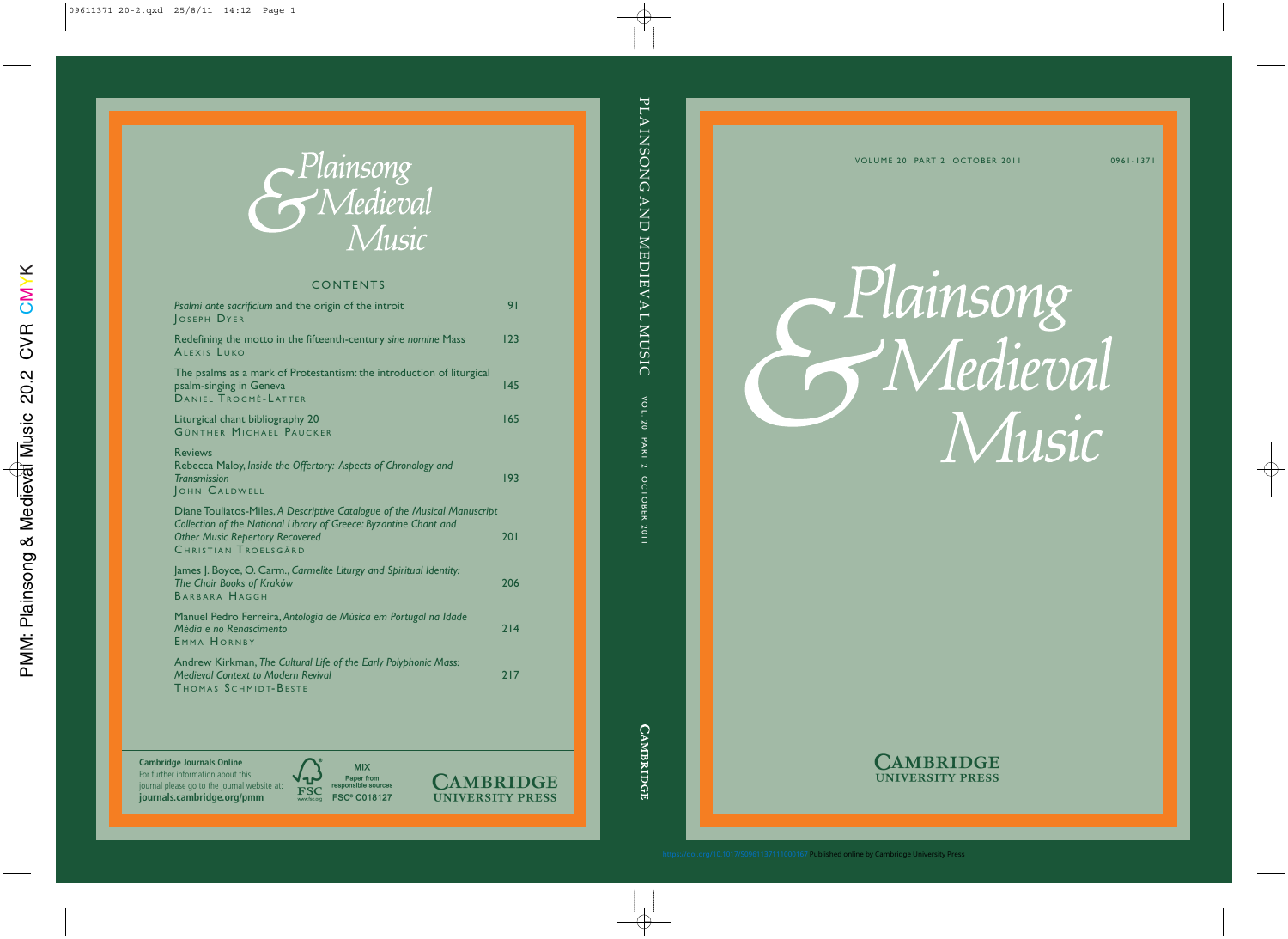VOLUME 20 PART 2 OCTOBER 2011

Plainsong Wledieval Music



<https://doi.org/10.1017/S0961137111000167>Published online by Cambridge University Press

0961-1371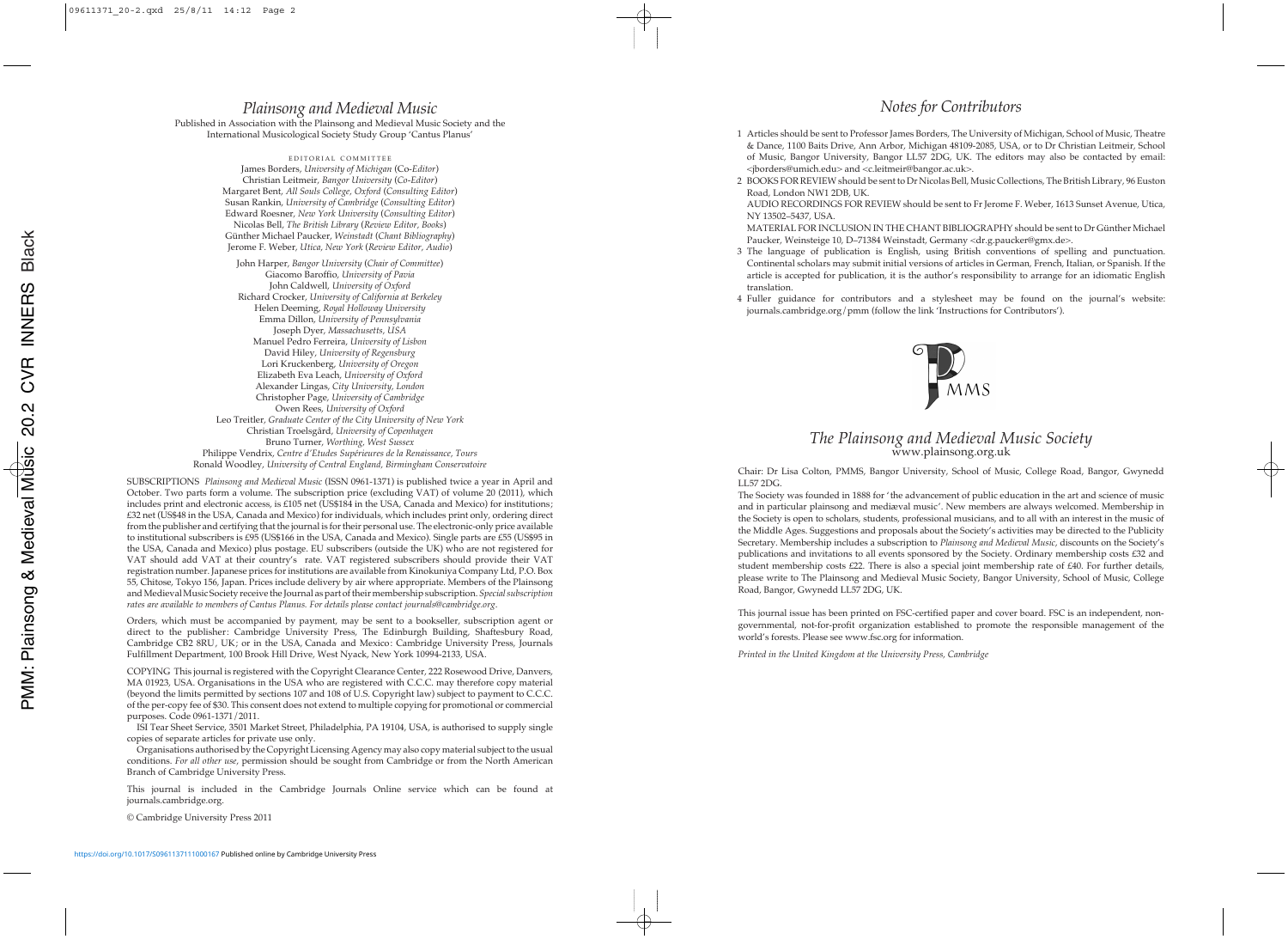## *Plainsong and Medieval Music*

Published in Association with the Plainsong and Medieval Music Society and the International Musicological Society Study Group 'Cantus Planus'

EDITORIAL COMMITTEE James Borders, *University of Michigan* (Co-*Editor*) Christian Leitmeir, *Bangor University* (*Co-Editor*) Margaret Bent, *All Souls College, Oxford* (*Consulting Editor*) Susan Rankin, *University of Cambridge* (*Consulting Editor*) Edward Roesner, *New York University* (*Consulting Editor*) Nicolas Bell, *The British Library* (*Review Editor, Books*) Günther Michael Paucker, *Weinstadt* (*Chant Bibliography*) Jerome F. Weber, *Utica, New York* (*Review Editor, Audio*) John Harper, *Bangor University* (*Chair of Committee*) Giacomo Baroffio, *University of Pavia* John Caldwell, *University of Oxford* Richard Crocker, *University of California at Berkeley* Helen Deeming, *Royal Holloway University* Emma Dillon, *University of Pennsylvania* Joseph Dyer, *Massachusetts, USA* Manuel Pedro Ferreira, *University of Lisbon* David Hiley, *University of Regensburg* Lori Kruckenberg, *University of Oregon* Elizabeth Eva Leach, *University of Oxford* Alexander Lingas, *City University, London* Christopher Page, *University of Cambridge* Owen Rees, *University of Oxford* Leo Treitler, *Graduate Center of the City University of New York* Christian Troelsgård, *University of Copenhagen* Bruno Turner, *Worthing, West Sussex* Philippe Vendrix, *Centre d'Etudes Supérieures de la Renaissance, Tours* Ronald Woodley, *University of Central England, Birmingham Conservatoire*

SUBSCRIPTIONS *Plainsong and Medieval Music* (ISSN 0961-1371) is published twice a year in April and October. Two parts form a volume. The subscription price (excluding VAT) of volume 20 (2011), which includes print and electronic access, is £105 net (US\$184 in the USA, Canada and Mexico) for institutions; £32 net (US\$48 in the USA, Canada and Mexico) for individuals, which includes print only, ordering direct from the publisher and certifying that the journal is for their personal use. The electronic-only price available to institutional subscribers is £95 (US\$166 in the USA, Canada and Mexico). Single parts are £55 (US\$95 in the USA, Canada and Mexico) plus postage. EU subscribers (outside the UK) who are not registered for VAT should add VAT at their country's rate. VAT registered subscribers should provide their VAT registration number. Japanese prices for institutions are available from Kinokuniya Company Ltd, P.O. Box 55, Chitose, Tokyo 156, Japan. Prices include delivery by air where appropriate. Members of the Plainsong and Medieval Music Society receive the Journal as part of their membership subscription. *Special subscription rates are available to members of Cantus Planus. For details please contact journals*@*cambridge.org*.

Orders, which must be accompanied by payment, may be sent to a bookseller, subscription agent or direct to the publisher: Cambridge University Press, The Edinburgh Building, Shaftesbury Road, Cambridge CB2 8RU, UK; or in the USA, Canada and Mexico: Cambridge University Press, Journals Fulfillment Department, 100 Brook Hill Drive, West Nyack, New York 10994-2133, USA.

COPYING This journal is registered with the Copyright Clearance Center, 222 Rosewood Drive, Danvers, MA 01923, USA. Organisations in the USA who are registered with C.C.C. may therefore copy material (beyond the limits permitted by sections 107 and 108 of U.S. Copyright law) subject to payment to C.C.C. of the per-copy fee of \$30. This consent does not extend to multiple copying for promotional or commercial purposes. Code 0961-1371/2011.

ISI Tear Sheet Service, 3501 Market Street, Philadelphia, PA 19104, USA, is authorised to supply single copies of separate articles for private use only.

Organisations authorised by the Copyright Licensing Agency may also copy material subject to the usual conditions. *For all other use*, permission should be sought from Cambridge or from the North American Branch of Cambridge University Press.

This journal is included in the Cambridge Journals Online service which can be found at journals.cambridge.org.

© Cambridge University Press 2011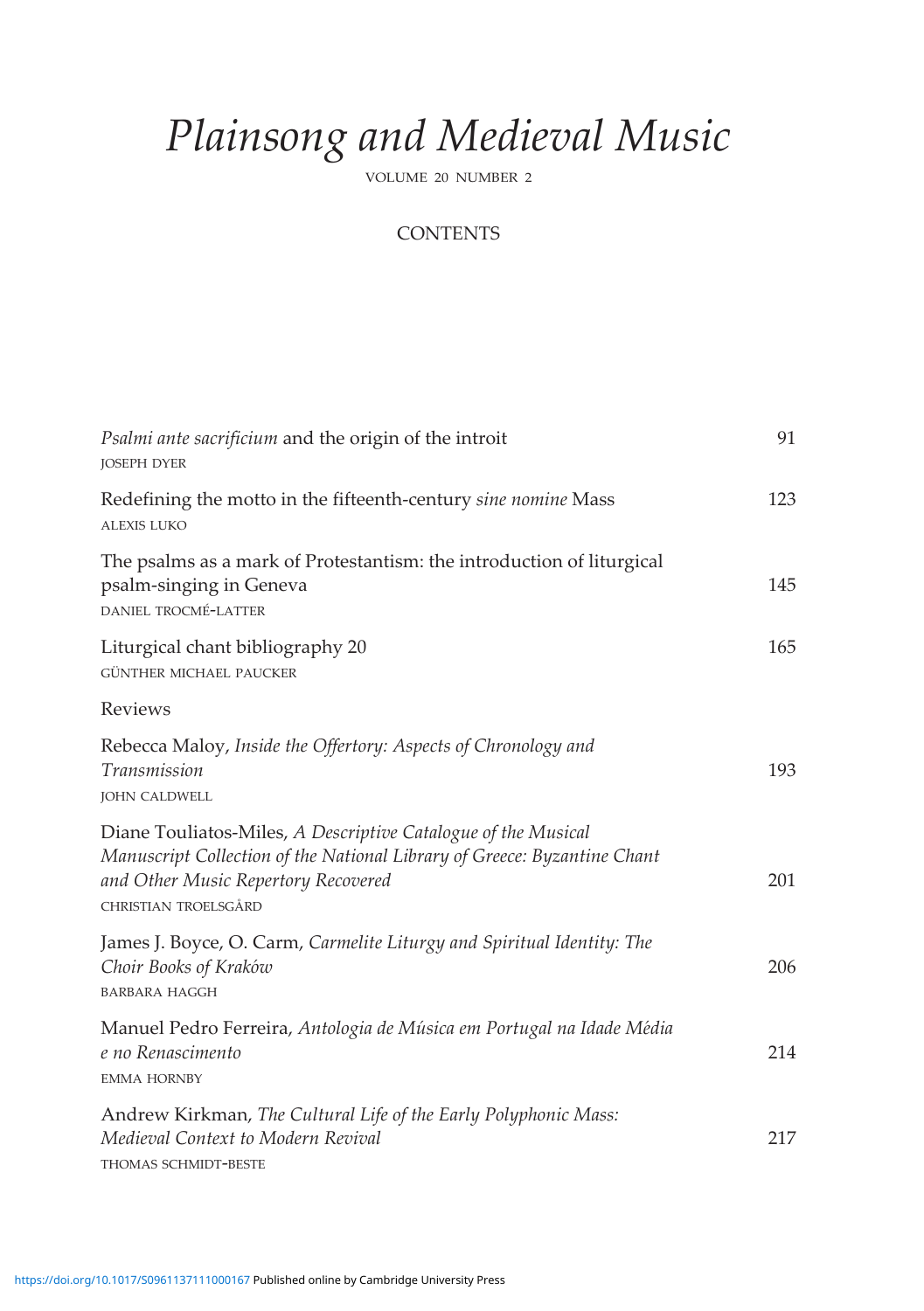## *Plainsong and Medieval Music*

VOLUME 20 NUMBER 2

## **CONTENTS**

| Psalmi ante sacrificium and the origin of the introit<br><b>JOSEPH DYER</b>                                                                                                                              | 91  |
|----------------------------------------------------------------------------------------------------------------------------------------------------------------------------------------------------------|-----|
| Redefining the motto in the fifteenth-century sine nomine Mass<br><b>ALEXIS LUKO</b>                                                                                                                     | 123 |
| The psalms as a mark of Protestantism: the introduction of liturgical<br>psalm-singing in Geneva<br>DANIEL TROCMÉ-LATTER                                                                                 | 145 |
| Liturgical chant bibliography 20<br>GÜNTHER MICHAEL PAUCKER                                                                                                                                              | 165 |
| Reviews                                                                                                                                                                                                  |     |
| Rebecca Maloy, Inside the Offertory: Aspects of Chronology and<br>Transmission<br><b>JOHN CALDWELL</b>                                                                                                   | 193 |
| Diane Touliatos-Miles, A Descriptive Catalogue of the Musical<br>Manuscript Collection of the National Library of Greece: Byzantine Chant<br>and Other Music Repertory Recovered<br>CHRISTIAN TROELSGÅRD | 201 |
| James J. Boyce, O. Carm, Carmelite Liturgy and Spiritual Identity: The<br>Choir Books of Kraków<br><b>BARBARA HAGGH</b>                                                                                  | 206 |
| Manuel Pedro Ferreira, Antologia de Música em Portugal na Idade Média<br>e no Renascimento<br><b>EMMA HORNBY</b>                                                                                         | 214 |
| Andrew Kirkman, The Cultural Life of the Early Polyphonic Mass:<br>Medieval Context to Modern Revival<br>THOMAS SCHMIDT-BESTE                                                                            | 217 |